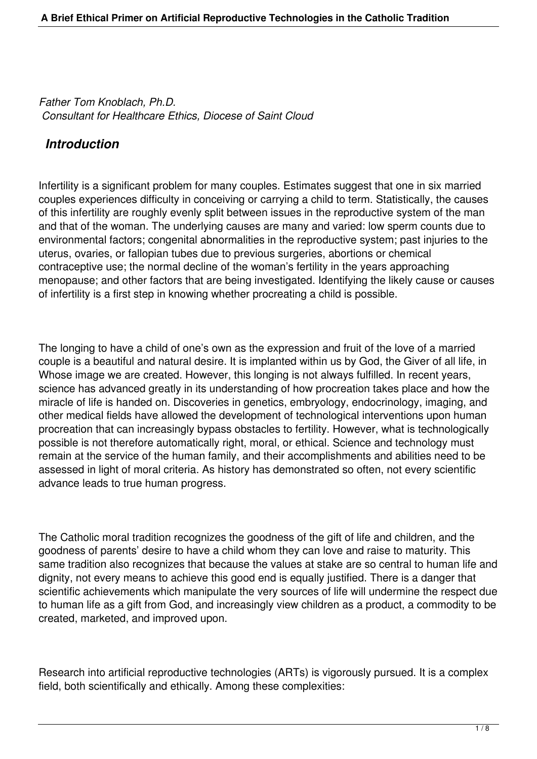*Father Tom Knoblach, Ph.D. Consultant for Healthcare Ethics, Diocese of Saint Cloud*

### *Introduction*

Infertility is a significant problem for many couples. Estimates suggest that one in six married couples experiences difficulty in conceiving or carrying a child to term. Statistically, the causes of this infertility are roughly evenly split between issues in the reproductive system of the man and that of the woman. The underlying causes are many and varied: low sperm counts due to environmental factors; congenital abnormalities in the reproductive system; past injuries to the uterus, ovaries, or fallopian tubes due to previous surgeries, abortions or chemical contraceptive use; the normal decline of the woman's fertility in the years approaching menopause; and other factors that are being investigated. Identifying the likely cause or causes of infertility is a first step in knowing whether procreating a child is possible.

The longing to have a child of one's own as the expression and fruit of the love of a married couple is a beautiful and natural desire. It is implanted within us by God, the Giver of all life, in Whose image we are created. However, this longing is not always fulfilled. In recent years, science has advanced greatly in its understanding of how procreation takes place and how the miracle of life is handed on. Discoveries in genetics, embryology, endocrinology, imaging, and other medical fields have allowed the development of technological interventions upon human procreation that can increasingly bypass obstacles to fertility. However, what is technologically possible is not therefore automatically right, moral, or ethical. Science and technology must remain at the service of the human family, and their accomplishments and abilities need to be assessed in light of moral criteria. As history has demonstrated so often, not every scientific advance leads to true human progress.

The Catholic moral tradition recognizes the goodness of the gift of life and children, and the goodness of parents' desire to have a child whom they can love and raise to maturity. This same tradition also recognizes that because the values at stake are so central to human life and dignity, not every means to achieve this good end is equally justified. There is a danger that scientific achievements which manipulate the very sources of life will undermine the respect due to human life as a gift from God, and increasingly view children as a product, a commodity to be created, marketed, and improved upon.

Research into artificial reproductive technologies (ARTs) is vigorously pursued. It is a complex field, both scientifically and ethically. Among these complexities: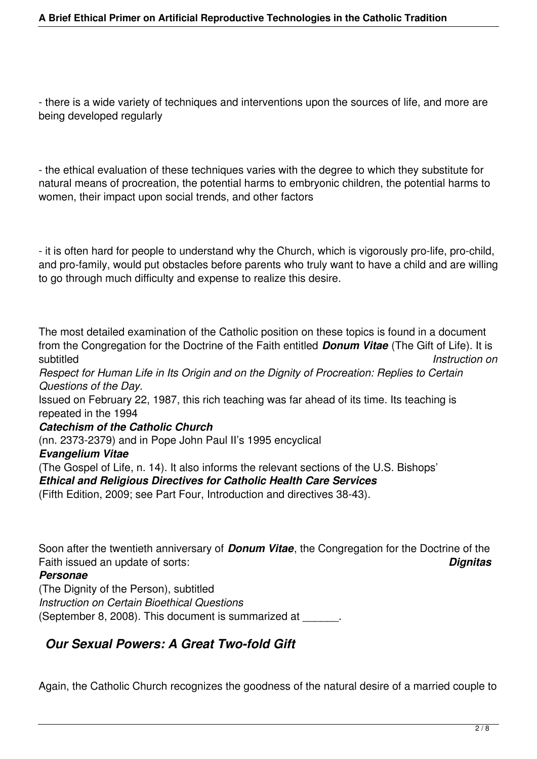- there is a wide variety of techniques and interventions upon the sources of life, and more are being developed regularly

- the ethical evaluation of these techniques varies with the degree to which they substitute for natural means of procreation, the potential harms to embryonic children, the potential harms to women, their impact upon social trends, and other factors

- it is often hard for people to understand why the Church, which is vigorously pro-life, pro-child, and pro-family, would put obstacles before parents who truly want to have a child and are willing to go through much difficulty and expense to realize this desire.

The most detailed examination of the Catholic position on these topics is found in a document from the Congregation for the Doctrine of the Faith entitled *Donum Vitae* (The Gift of Life). It is subtitled *Instruction on*

*Respect for Human Life in Its Origin and on the Dignity of Procreation: Replies to Certain Questions of the Day.*

Issued on February 22, 1987, this rich teaching was far ahead of its time. Its teaching is repeated in the 1994

#### *Catechism of the Catholic Church*

(nn. 2373-2379) and in Pope John Paul II's 1995 encyclical

#### *Evangelium Vitae*

(The Gospel of Life, n. 14). It also informs the relevant sections of the U.S. Bishops' *Ethical and Religious Directives for Catholic Health Care Services*

(Fifth Edition, 2009; see Part Four, Introduction and directives 38-43).

Soon after the twentieth anniversary of *Donum Vitae*, the Congregation for the Doctrine of the Faith issued an update of sorts: *Dignitas*

#### *Personae*

(The Dignity of the Person), subtitled *Instruction on Certain Bioethical Questions*  (September 8, 2008). This document is summarized at \_\_\_\_\_\_.

# *Our Sexual Powers: A Great Two-fold Gift*

Again, the Catholic Church recognizes the goodness of the natural desire of a married couple to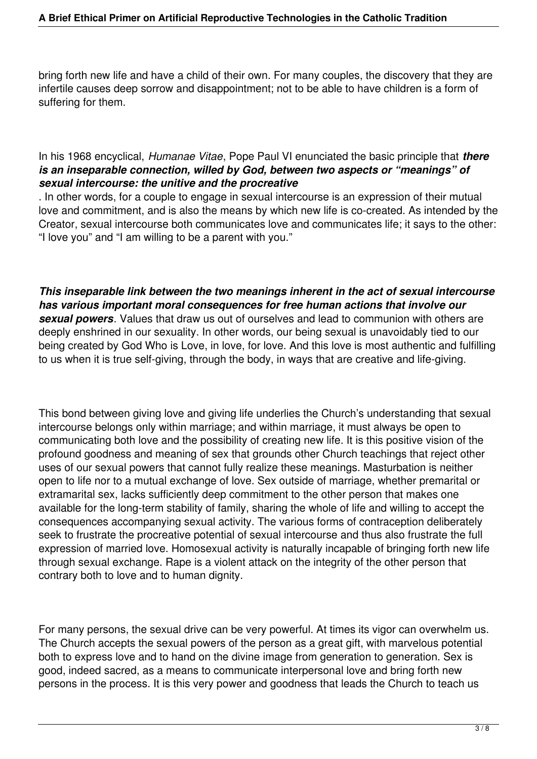bring forth new life and have a child of their own. For many couples, the discovery that they are infertile causes deep sorrow and disappointment; not to be able to have children is a form of suffering for them.

#### In his 1968 encyclical, *Humanae Vitae*, Pope Paul VI enunciated the basic principle that *there is an inseparable connection, willed by God, between two aspects or "meanings" of sexual intercourse: the unitive and the procreative*

. In other words, for a couple to engage in sexual intercourse is an expression of their mutual love and commitment, and is also the means by which new life is co-created. As intended by the Creator, sexual intercourse both communicates love and communicates life; it says to the other: "I love you" and "I am willing to be a parent with you."

*This inseparable link between the two meanings inherent in the act of sexual intercourse has various important moral consequences for free human actions that involve our sexual powers*. Values that draw us out of ourselves and lead to communion with others are deeply enshrined in our sexuality. In other words, our being sexual is unavoidably tied to our being created by God Who is Love, in love, for love. And this love is most authentic and fulfilling to us when it is true self-giving, through the body, in ways that are creative and life-giving.

This bond between giving love and giving life underlies the Church's understanding that sexual intercourse belongs only within marriage; and within marriage, it must always be open to communicating both love and the possibility of creating new life. It is this positive vision of the profound goodness and meaning of sex that grounds other Church teachings that reject other uses of our sexual powers that cannot fully realize these meanings. Masturbation is neither open to life nor to a mutual exchange of love. Sex outside of marriage, whether premarital or extramarital sex, lacks sufficiently deep commitment to the other person that makes one available for the long-term stability of family, sharing the whole of life and willing to accept the consequences accompanying sexual activity. The various forms of contraception deliberately seek to frustrate the procreative potential of sexual intercourse and thus also frustrate the full expression of married love. Homosexual activity is naturally incapable of bringing forth new life through sexual exchange. Rape is a violent attack on the integrity of the other person that contrary both to love and to human dignity.

For many persons, the sexual drive can be very powerful. At times its vigor can overwhelm us. The Church accepts the sexual powers of the person as a great gift, with marvelous potential both to express love and to hand on the divine image from generation to generation. Sex is good, indeed sacred, as a means to communicate interpersonal love and bring forth new persons in the process. It is this very power and goodness that leads the Church to teach us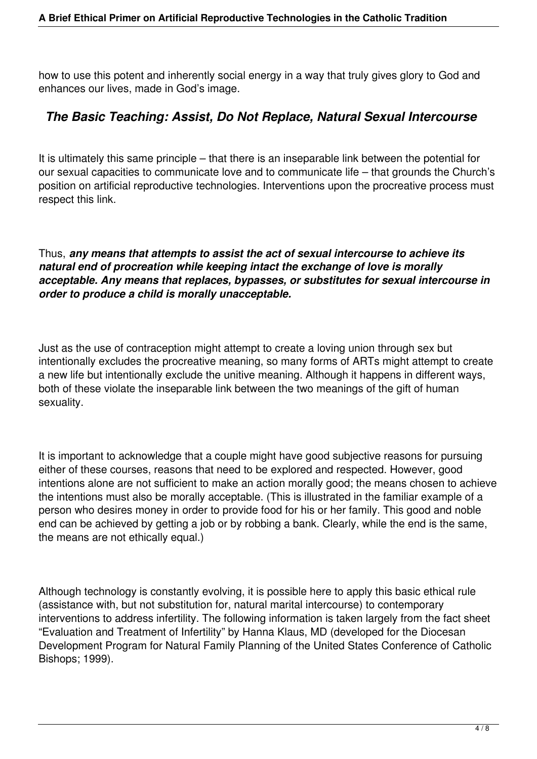how to use this potent and inherently social energy in a way that truly gives glory to God and enhances our lives, made in God's image.

## *The Basic Teaching: Assist, Do Not Replace, Natural Sexual Intercourse*

It is ultimately this same principle – that there is an inseparable link between the potential for our sexual capacities to communicate love and to communicate life – that grounds the Church's position on artificial reproductive technologies. Interventions upon the procreative process must respect this link.

Thus, *any means that attempts to assist the act of sexual intercourse to achieve its natural end of procreation while keeping intact the exchange of love is morally acceptable. Any means that replaces, bypasses, or substitutes for sexual intercourse in order to produce a child is morally unacceptable.*

Just as the use of contraception might attempt to create a loving union through sex but intentionally excludes the procreative meaning, so many forms of ARTs might attempt to create a new life but intentionally exclude the unitive meaning. Although it happens in different ways, both of these violate the inseparable link between the two meanings of the gift of human sexuality.

It is important to acknowledge that a couple might have good subjective reasons for pursuing either of these courses, reasons that need to be explored and respected. However, good intentions alone are not sufficient to make an action morally good; the means chosen to achieve the intentions must also be morally acceptable. (This is illustrated in the familiar example of a person who desires money in order to provide food for his or her family. This good and noble end can be achieved by getting a job or by robbing a bank. Clearly, while the end is the same, the means are not ethically equal.)

Although technology is constantly evolving, it is possible here to apply this basic ethical rule (assistance with, but not substitution for, natural marital intercourse) to contemporary interventions to address infertility. The following information is taken largely from the fact sheet "Evaluation and Treatment of Infertility" by Hanna Klaus, MD (developed for the Diocesan Development Program for Natural Family Planning of the United States Conference of Catholic Bishops; 1999).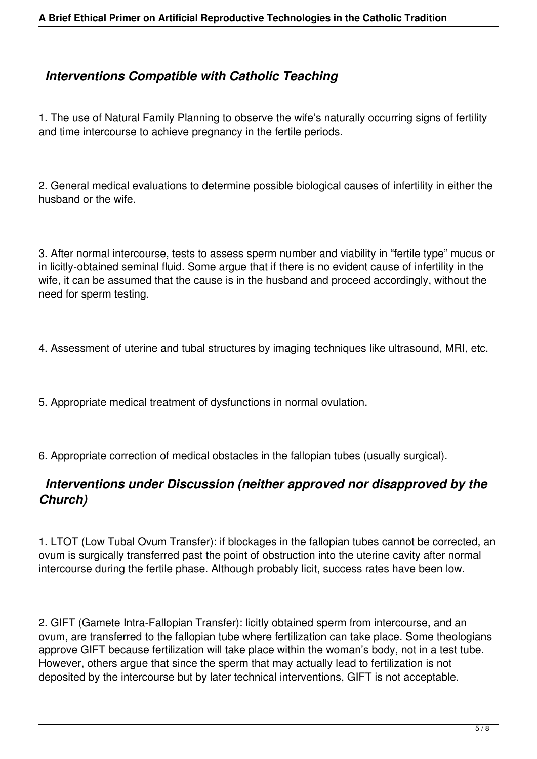## *Interventions Compatible with Catholic Teaching*

1. The use of Natural Family Planning to observe the wife's naturally occurring signs of fertility and time intercourse to achieve pregnancy in the fertile periods.

2. General medical evaluations to determine possible biological causes of infertility in either the husband or the wife.

3. After normal intercourse, tests to assess sperm number and viability in "fertile type" mucus or in licitly-obtained seminal fluid. Some argue that if there is no evident cause of infertility in the wife, it can be assumed that the cause is in the husband and proceed accordingly, without the need for sperm testing.

- 4. Assessment of uterine and tubal structures by imaging techniques like ultrasound, MRI, etc.
- 5. Appropriate medical treatment of dysfunctions in normal ovulation.
- 6. Appropriate correction of medical obstacles in the fallopian tubes (usually surgical).

#### *Interventions under Discussion (neither approved nor disapproved by the Church)*

1. LTOT (Low Tubal Ovum Transfer): if blockages in the fallopian tubes cannot be corrected, an ovum is surgically transferred past the point of obstruction into the uterine cavity after normal intercourse during the fertile phase. Although probably licit, success rates have been low.

2. GIFT (Gamete Intra-Fallopian Transfer): licitly obtained sperm from intercourse, and an ovum, are transferred to the fallopian tube where fertilization can take place. Some theologians approve GIFT because fertilization will take place within the woman's body, not in a test tube. However, others argue that since the sperm that may actually lead to fertilization is not deposited by the intercourse but by later technical interventions, GIFT is not acceptable.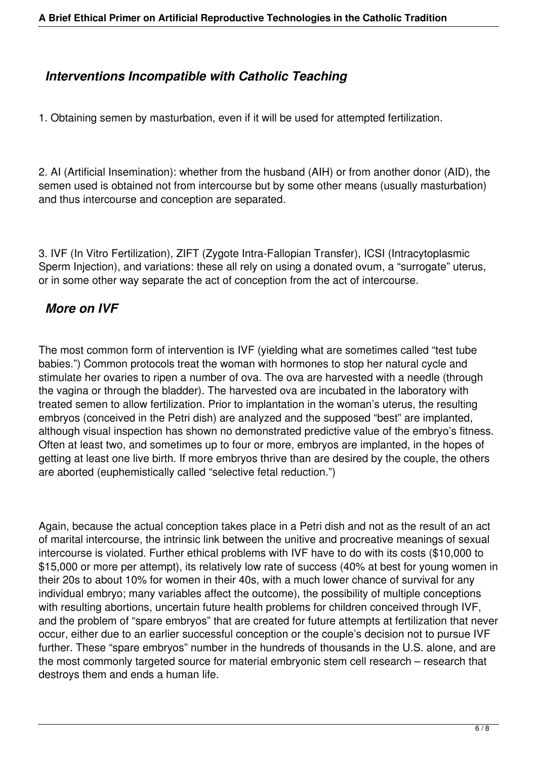### *Interventions Incompatible with Catholic Teaching*

1. Obtaining semen by masturbation, even if it will be used for attempted fertilization.

2. AI (Artificial Insemination): whether from the husband (AIH) or from another donor (AID), the semen used is obtained not from intercourse but by some other means (usually masturbation) and thus intercourse and conception are separated.

3. IVF (In Vitro Fertilization), ZIFT (Zygote Intra-Fallopian Transfer), ICSI (Intracytoplasmic Sperm Injection), and variations: these all rely on using a donated ovum, a "surrogate" uterus, or in some other way separate the act of conception from the act of intercourse.

# *More on IVF*

The most common form of intervention is IVF (yielding what are sometimes called "test tube babies.") Common protocols treat the woman with hormones to stop her natural cycle and stimulate her ovaries to ripen a number of ova. The ova are harvested with a needle (through the vagina or through the bladder). The harvested ova are incubated in the laboratory with treated semen to allow fertilization. Prior to implantation in the woman's uterus, the resulting embryos (conceived in the Petri dish) are analyzed and the supposed "best" are implanted, although visual inspection has shown no demonstrated predictive value of the embryo's fitness. Often at least two, and sometimes up to four or more, embryos are implanted, in the hopes of getting at least one live birth. If more embryos thrive than are desired by the couple, the others are aborted (euphemistically called "selective fetal reduction.")

Again, because the actual conception takes place in a Petri dish and not as the result of an act of marital intercourse, the intrinsic link between the unitive and procreative meanings of sexual intercourse is violated. Further ethical problems with IVF have to do with its costs (\$10,000 to \$15,000 or more per attempt), its relatively low rate of success (40% at best for young women in their 20s to about 10% for women in their 40s, with a much lower chance of survival for any individual embryo; many variables affect the outcome), the possibility of multiple conceptions with resulting abortions, uncertain future health problems for children conceived through IVF, and the problem of "spare embryos" that are created for future attempts at fertilization that never occur, either due to an earlier successful conception or the couple's decision not to pursue IVF further. These "spare embryos" number in the hundreds of thousands in the U.S. alone, and are the most commonly targeted source for material embryonic stem cell research – research that destroys them and ends a human life.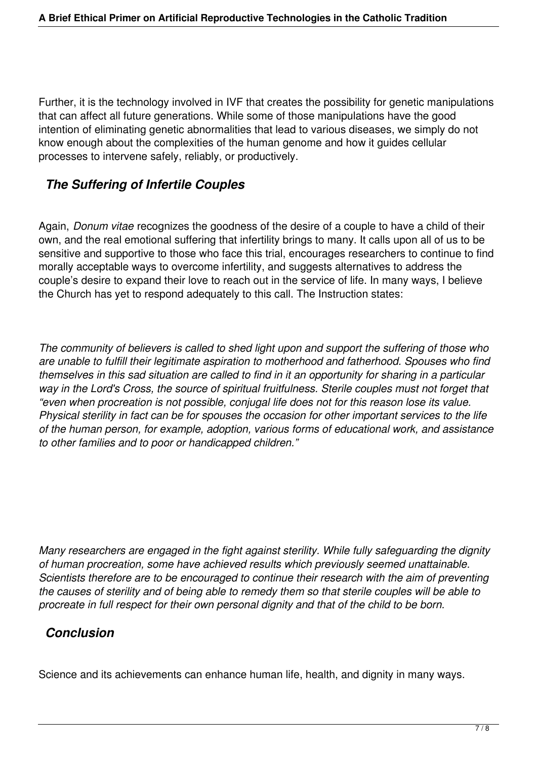Further, it is the technology involved in IVF that creates the possibility for genetic manipulations that can affect all future generations. While some of those manipulations have the good intention of eliminating genetic abnormalities that lead to various diseases, we simply do not know enough about the complexities of the human genome and how it guides cellular processes to intervene safely, reliably, or productively.

## *The Suffering of Infertile Couples*

Again, *Donum vitae* recognizes the goodness of the desire of a couple to have a child of their own, and the real emotional suffering that infertility brings to many. It calls upon all of us to be sensitive and supportive to those who face this trial, encourages researchers to continue to find morally acceptable ways to overcome infertility, and suggests alternatives to address the couple's desire to expand their love to reach out in the service of life. In many ways, I believe the Church has yet to respond adequately to this call. The Instruction states:

*The community of believers is called to shed light upon and support the suffering of those who are unable to fulfill their legitimate aspiration to motherhood and fatherhood. Spouses who find themselves in this sad situation are called to find in it an opportunity for sharing in a particular way in the Lord's Cross, the source of spiritual fruitfulness. Sterile couples must not forget that "even when procreation is not possible, conjugal life does not for this reason lose its value. Physical sterility in fact can be for spouses the occasion for other important services to the life of the human person, for example, adoption, various forms of educational work, and assistance to other families and to poor or handicapped children."*

*Many researchers are engaged in the fight against sterility. While fully safeguarding the dignity of human procreation, some have achieved results which previously seemed unattainable. Scientists therefore are to be encouraged to continue their research with the aim of preventing the causes of sterility and of being able to remedy them so that sterile couples will be able to procreate in full respect for their own personal dignity and that of the child to be born.*

#### *Conclusion*

Science and its achievements can enhance human life, health, and dignity in many ways.